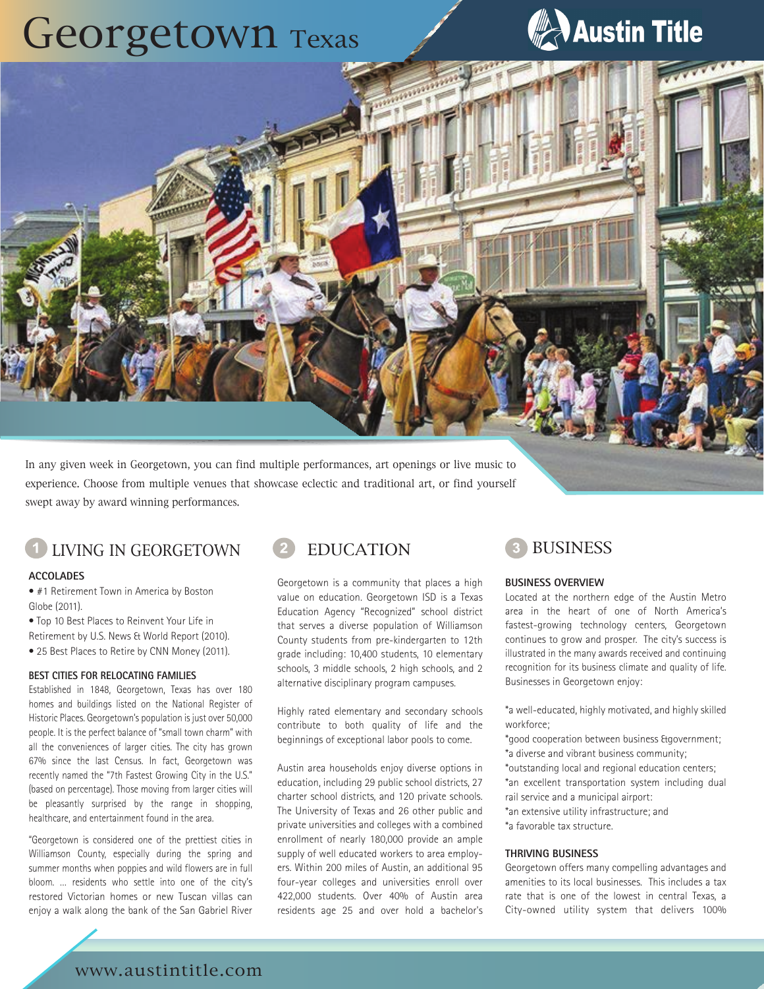## Georgetown Texas



In any given week in Georgetown, you can find multiple performances, art openings or live music to experience. Choose from multiple venues that showcase eclectic and traditional art, or find yourself swept away by award winning performances.

### LIVING IN GEORGETOWN **2 EDUCATION 3 BUSINESS**

### **ACCOLADES**

• #1 Retirement Town in America by Boston Globe (2011).

• Top 10 Best Places to Reinvent Your Life in

- Retirement by U.S. News & World Report (2010).
- 25 Best Places to Retire by CNN Money (2011).

### **BEST CITIES FOR RELOCATING FAMILIES**

Established in 1848, Georgetown, Texas has over 180 homes and buildings listed on the National Register of Historic Places. Georgetown's population is just over 50,000 people. It is the perfect balance of "small town charm" with all the conveniences of larger cities. The city has grown 67% since the last Census. In fact, Georgetown was recently named the "7th Fastest Growing City in the U.S." (based on percentage). Those moving from larger cities will be pleasantly surprised by the range in shopping, healthcare, and entertainment found in the area.

"Georgetown is considered one of the prettiest cities in Williamson County, especially during the spring and summer months when poppies and wild flowers are in full bloom. … residents who settle into one of the city's restored Victorian homes or new Tuscan villas can enjoy a walk along the bank of the San Gabriel River



Georgetown is a community that places a high value on education. Georgetown ISD is a Texas Education Agency "Recognized" school district that serves a diverse population of Williamson County students from pre-kindergarten to 12th grade including: 10,400 students, 10 elementary schools, 3 middle schools, 2 high schools, and 2 alternative disciplinary program campuses.

Highly rated elementary and secondary schools contribute to both quality of life and the beginnings of exceptional labor pools to come.

Austin area households enjoy diverse options in education, including 29 public school districts, 27 charter school districts, and 120 private schools. The University of Texas and 26 other public and private universities and colleges with a combined enrollment of nearly 180,000 provide an ample supply of well educated workers to area employers. Within 200 miles of Austin, an additional 95 four-year colleges and universities enroll over 422,000 students. Over 40% of Austin area residents age 25 and over hold a bachelor's



### **BUSINESS OVERVIEW**

Located at the northern edge of the Austin Metro area in the heart of one of North America's fastest-growing technology centers, Georgetown continues to grow and prosper. The city's success is illustrated in the many awards received and continuing recognition for its business climate and quality of life. Businesses in Georgetown enjoy:

\*a well-educated, highly motivated, and highly skilled workforce;

\*good cooperation between business &government; \*a diverse and vibrant business community;

\*outstanding local and regional education centers;

- \*an excellent transportation system including dual
- rail service and a municipal airport: \*an extensive utility infrastructure; and
- \*a favorable tax structure.

### **THRIVING BUSINESS**

Georgetown offers many compelling advantages and amenities to its local businesses. This includes a tax rate that is one of the lowest in central Texas, a City-owned utility system that delivers 100%